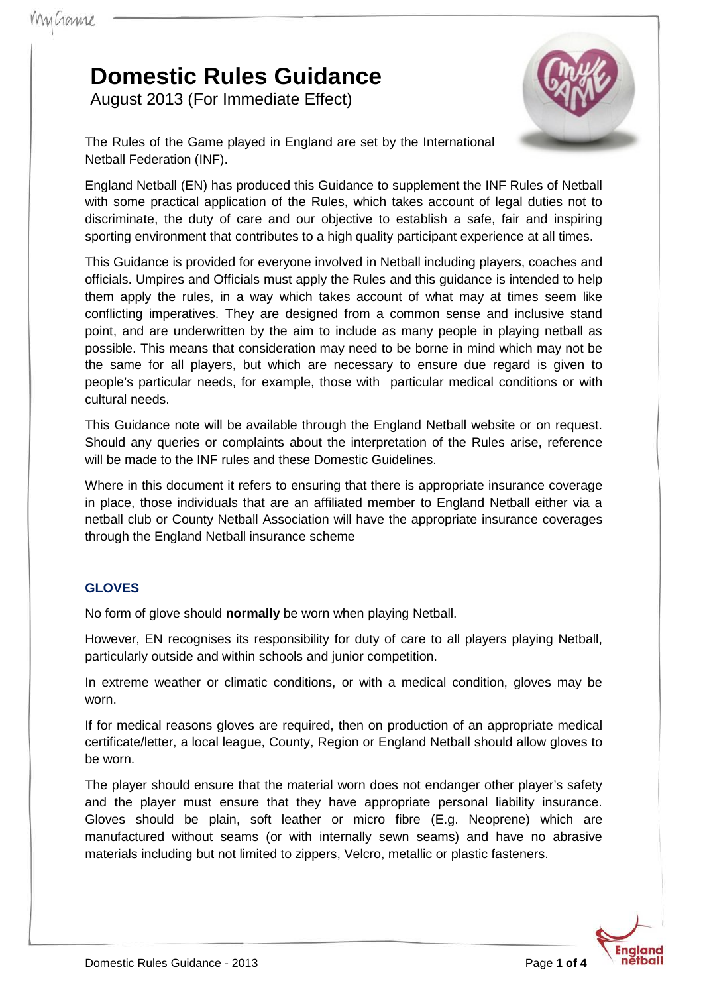# **Domestic Rules Guidance**

August 2013 (For Immediate Effect)



The Rules of the Game played in England are set by the International Netball Federation (INF).

England Netball (EN) has produced this Guidance to supplement the INF Rules of Netball with some practical application of the Rules, which takes account of legal duties not to discriminate, the duty of care and our objective to establish a safe, fair and inspiring sporting environment that contributes to a high quality participant experience at all times.

This Guidance is provided for everyone involved in Netball including players, coaches and officials. Umpires and Officials must apply the Rules and this guidance is intended to help them apply the rules, in a way which takes account of what may at times seem like conflicting imperatives. They are designed from a common sense and inclusive stand point, and are underwritten by the aim to include as many people in playing netball as possible. This means that consideration may need to be borne in mind which may not be the same for all players, but which are necessary to ensure due regard is given to people's particular needs, for example, those with particular medical conditions or with cultural needs.

This Guidance note will be available through the England Netball website or on request. Should any queries or complaints about the interpretation of the Rules arise, reference will be made to the INF rules and these Domestic Guidelines.

Where in this document it refers to ensuring that there is appropriate insurance coverage in place, those individuals that are an affiliated member to England Netball either via a netball club or County Netball Association will have the appropriate insurance coverages through the England Netball insurance scheme

## **GLOVES**

No form of glove should **normally** be worn when playing Netball.

However, EN recognises its responsibility for duty of care to all players playing Netball, particularly outside and within schools and junior competition.

In extreme weather or climatic conditions, or with a medical condition, gloves may be worn.

If for medical reasons gloves are required, then on production of an appropriate medical certificate/letter, a local league, County, Region or England Netball should allow gloves to be worn.

The player should ensure that the material worn does not endanger other player's safety and the player must ensure that they have appropriate personal liability insurance. Gloves should be plain, soft leather or micro fibre (E.g. Neoprene) which are manufactured without seams (or with internally sewn seams) and have no abrasive materials including but not limited to zippers, Velcro, metallic or plastic fasteners.

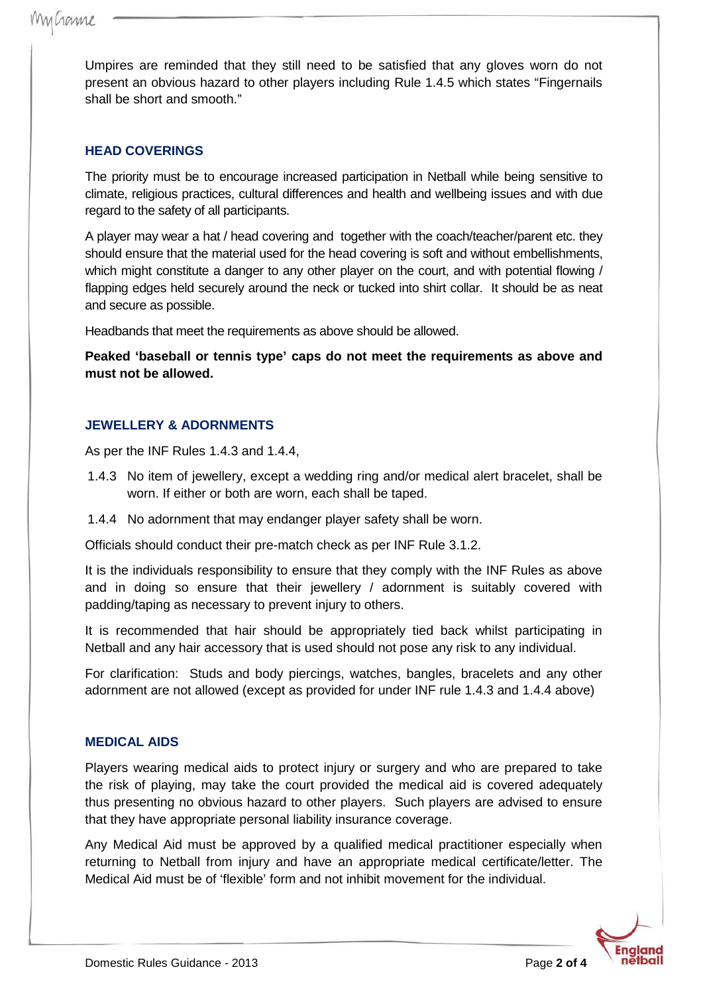Umpires are reminded that they still need to be satisfied that any gloves worn do not present an obvious hazard to other players including Rule 1.4.5 which states "Fingernails shall be short and smooth."

#### **HEAD COVERINGS**

The priority must be to encourage increased participation in Netball while being sensitive to climate, religious practices, cultural differences and health and wellbeing issues and with due regard to the safety of all participants.

A player may wear a hat / head covering and together with the coach/teacher/parent etc. they should ensure that the material used for the head covering is soft and without embellishments, which might constitute a danger to any other player on the court, and with potential flowing / flapping edges held securely around the neck or tucked into shirt collar. It should be as neat and secure as possible.

Headbands that meet the requirements as above should be allowed.

**Peaked 'baseball or tennis type' caps do not meet the requirements as above and must not be allowed.**

### **JEWELLERY & ADORNMENTS**

As per the INF Rules 1.4.3 and 1.4.4,

- 1.4.3 No item of jewellery, except a wedding ring and/or medical alert bracelet, shall be worn. If either or both are worn, each shall be taped.
- 1.4.4 No adornment that may endanger player safety shall be worn.

Officials should conduct their pre-match check as per INF Rule 3.1.2.

It is the individuals responsibility to ensure that they comply with the INF Rules as above and in doing so ensure that their jewellery / adornment is suitably covered with padding/taping as necessary to prevent injury to others.

It is recommended that hair should be appropriately tied back whilst participating in Netball and any hair accessory that is used should not pose any risk to any individual.

For clarification: Studs and body piercings, watches, bangles, bracelets and any other adornment are not allowed (except as provided for under INF rule 1.4.3 and 1.4.4 above)

#### **MEDICAL AIDS**

Players wearing medical aids to protect injury or surgery and who are prepared to take the risk of playing, may take the court provided the medical aid is covered adequately thus presenting no obvious hazard to other players. Such players are advised to ensure that they have appropriate personal liability insurance coverage.

Any Medical Aid must be approved by a qualified medical practitioner especially when returning to Netball from injury and have an appropriate medical certificate/letter. The Medical Aid must be of 'flexible' form and not inhibit movement for the individual.

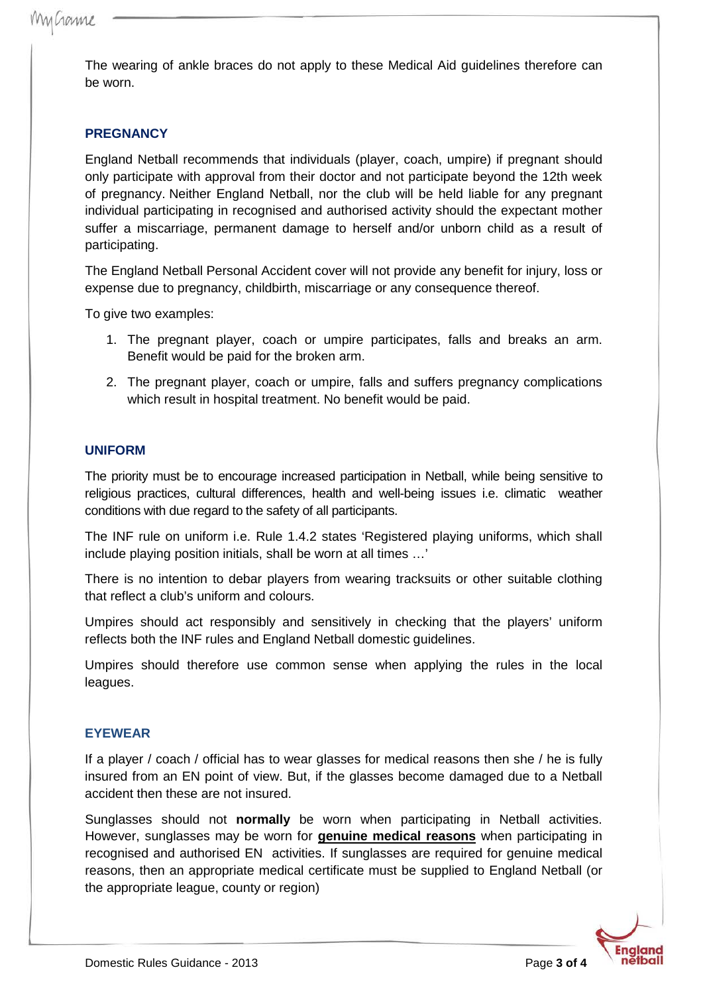The wearing of ankle braces do not apply to these Medical Aid guidelines therefore can be worn.

## **PREGNANCY**

England Netball recommends that individuals (player, coach, umpire) if pregnant should only participate with approval from their doctor and not participate beyond the 12th week of pregnancy. Neither England Netball, nor the club will be held liable for any pregnant individual participating in recognised and authorised activity should the expectant mother suffer a miscarriage, permanent damage to herself and/or unborn child as a result of participating.

The England Netball Personal Accident cover will not provide any benefit for injury, loss or expense due to pregnancy, childbirth, miscarriage or any consequence thereof.

To give two examples:

- 1. The pregnant player, coach or umpire participates, falls and breaks an arm. Benefit would be paid for the broken arm.
- 2. The pregnant player, coach or umpire, falls and suffers pregnancy complications which result in hospital treatment. No benefit would be paid.

#### **UNIFORM**

The priority must be to encourage increased participation in Netball, while being sensitive to religious practices, cultural differences, health and well-being issues i.e. climatic weather conditions with due regard to the safety of all participants.

The INF rule on uniform i.e. Rule 1.4.2 states 'Registered playing uniforms, which shall include playing position initials, shall be worn at all times …'

There is no intention to debar players from wearing tracksuits or other suitable clothing that reflect a club's uniform and colours.

Umpires should act responsibly and sensitively in checking that the players' uniform reflects both the INF rules and England Netball domestic guidelines.

Umpires should therefore use common sense when applying the rules in the local leagues.

#### **EYEWEAR**

If a player / coach / official has to wear glasses for medical reasons then she / he is fully insured from an EN point of view. But, if the glasses become damaged due to a Netball accident then these are not insured.

Sunglasses should not **normally** be worn when participating in Netball activities. However, sunglasses may be worn for **genuine medical reasons** when participating in recognised and authorised EN activities. If sunglasses are required for genuine medical reasons, then an appropriate medical certificate must be supplied to England Netball (or the appropriate league, county or region)